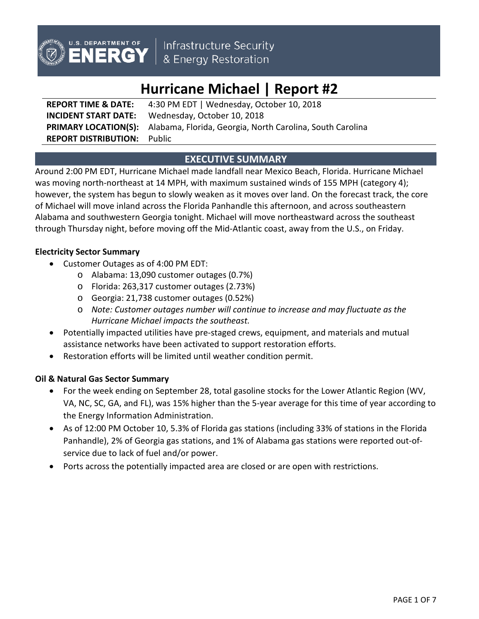

Infrastructure Security<br>& Energy Restoration

# **Hurricane Michael | Report #2**

**REPORT TIME & DATE:** 4:30 PM EDT | Wednesday, October 10, 2018 **INCIDENT START DATE:** Wednesday, October 10, 2018 **PRIMARY LOCATION(S):** Alabama, Florida, Georgia, North Carolina, South Carolina **REPORT DISTRIBUTION:** Public

# **EXECUTIVE SUMMARY**

Around 2:00 PM EDT, Hurricane Michael made landfall near Mexico Beach, Florida. Hurricane Michael was moving north-northeast at 14 MPH, with maximum sustained winds of 155 MPH (category 4); however, the system has begun to slowly weaken as it moves over land. On the forecast track, the core of Michael will move inland across the Florida Panhandle this afternoon, and across southeastern Alabama and southwestern Georgia tonight. Michael will move northeastward across the southeast through Thursday night, before moving off the Mid-Atlantic coast, away from the U.S., on Friday.

## **Electricity Sector Summary**

- Customer Outages as of 4:00 PM EDT:
	- o Alabama: 13,090 customer outages (0.7%)
	- o Florida: 263,317 customer outages (2.73%)
	- o Georgia: 21,738 customer outages (0.52%)
	- o *Note: Customer outages number will continue to increase and may fluctuate as the Hurricane Michael impacts the southeast.*
- Potentially impacted utilities have pre-staged crews, equipment, and materials and mutual assistance networks have been activated to support restoration efforts.
- Restoration efforts will be limited until weather condition permit.

## **Oil & Natural Gas Sector Summary**

- For the week ending on September 28, total gasoline stocks for the Lower Atlantic Region (WV, VA, NC, SC, GA, and FL), was 15% higher than the 5-year average for this time of year according to the Energy Information Administration.
- As of 12:00 PM October 10, 5.3% of Florida gas stations (including 33% of stations in the Florida Panhandle), 2% of Georgia gas stations, and 1% of Alabama gas stations were reported out-ofservice due to lack of fuel and/or power.
- Ports across the potentially impacted area are closed or are open with restrictions.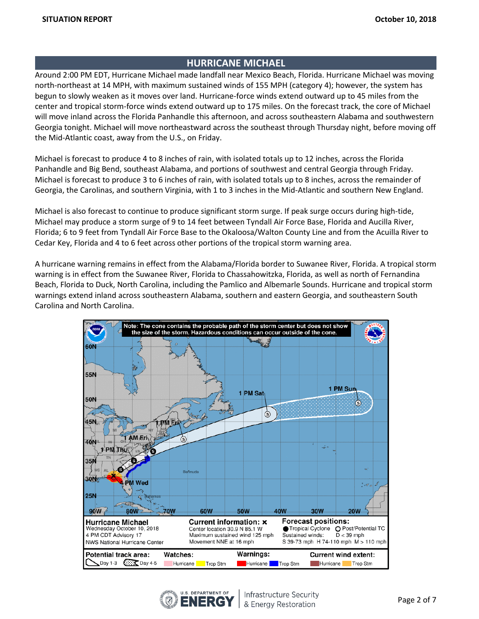# **HURRICANE MICHAEL**

Around 2:00 PM EDT, Hurricane Michael made landfall near Mexico Beach, Florida. Hurricane Michael was moving north-northeast at 14 MPH, with maximum sustained winds of 155 MPH (category 4); however, the system has begun to slowly weaken as it moves over land. Hurricane-force winds extend outward up to 45 miles from the center and tropical storm-force winds extend outward up to 175 miles. On the forecast track, the core of Michael will move inland across the Florida Panhandle this afternoon, and across southeastern Alabama and southwestern Georgia tonight. Michael will move northeastward across the southeast through Thursday night, before moving off the Mid-Atlantic coast, away from the U.S., on Friday.

Michael is forecast to produce 4 to 8 inches of rain, with isolated totals up to 12 inches, across the Florida Panhandle and Big Bend, southeast Alabama, and portions of southwest and central Georgia through Friday. Michael is forecast to produce 3 to 6 inches of rain, with isolated totals up to 8 inches, across the remainder of Georgia, the Carolinas, and southern Virginia, with 1 to 3 inches in the Mid-Atlantic and southern New England.

Michael is also forecast to continue to produce significant storm surge. If peak surge occurs during high-tide, Michael may produce a storm surge of 9 to 14 feet between Tyndall Air Force Base, Florida and Aucilla River, Florida; 6 to 9 feet from Tyndall Air Force Base to the Okaloosa/Walton County Line and from the Acuilla River to Cedar Key, Florida and 4 to 6 feet across other portions of the tropical storm warning area.

A hurricane warning remains in effect from the Alabama/Florida border to Suwanee River, Florida. A tropical storm warning is in effect from the Suwanee River, Florida to Chassahowitzka, Florida, as well as north of Fernandina Beach, Florida to Duck, North Carolina, including the Pamlico and Albemarle Sounds. Hurricane and tropical storm warnings extend inland across southeastern Alabama, southern and eastern Georgia, and southeastern South Carolina and North Carolina.



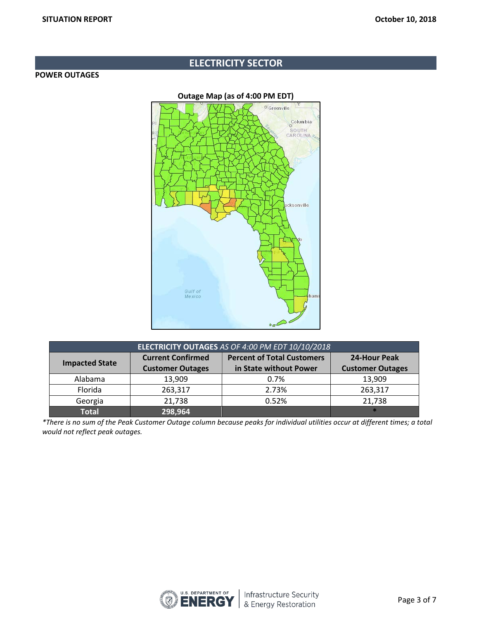# **ELECTRICITY SECTOR**

#### **POWER OUTAGES**



| ELECTRICITY OUTAGES AS OF 4:00 PM EDT 10/10/2018 |                          |                                   |                         |  |  |
|--------------------------------------------------|--------------------------|-----------------------------------|-------------------------|--|--|
|                                                  | <b>Current Confirmed</b> | <b>Percent of Total Customers</b> | 24-Hour Peak            |  |  |
| <b>Impacted State</b>                            | <b>Customer Outages</b>  | in State without Power            | <b>Customer Outages</b> |  |  |
| Alabama                                          | 13,909                   | 0.7%                              | 13,909                  |  |  |
| Florida                                          | 263,317                  | 2.73%                             | 263,317                 |  |  |
| Georgia                                          | 21,738                   | 0.52%                             | 21,738                  |  |  |
| <b>Total</b>                                     | 298,964                  |                                   |                         |  |  |

*\*There is no sum of the Peak Customer Outage column because peaks for individual utilities occur at different times; a total would not reflect peak outages.*

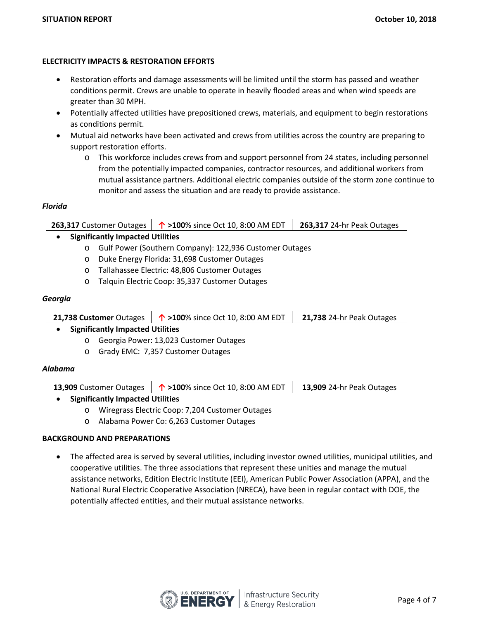### **ELECTRICITY IMPACTS & RESTORATION EFFORTS**

- Restoration efforts and damage assessments will be limited until the storm has passed and weather conditions permit. Crews are unable to operate in heavily flooded areas and when wind speeds are greater than 30 MPH.
- Potentially affected utilities have prepositioned crews, materials, and equipment to begin restorations as conditions permit.
- Mutual aid networks have been activated and crews from utilities across the country are preparing to support restoration efforts.
	- o This workforce includes crews from and support personnel from 24 states, including personnel from the potentially impacted companies, contractor resources, and additional workers from mutual assistance partners. Additional electric companies outside of the storm zone continue to monitor and assess the situation and are ready to provide assistance.

#### *Florida*

|                                         |         |  | 263,317 Customer Outages $\vert \phi \rangle$ >100% since Oct 10, 8:00 AM EDT | 263,317 24-hr Peak Outages |  |
|-----------------------------------------|---------|--|-------------------------------------------------------------------------------|----------------------------|--|
| <b>Significantly Impacted Utilities</b> |         |  |                                                                               |                            |  |
|                                         |         |  | o Gulf Power (Southern Company): 122,936 Customer Outages                     |                            |  |
|                                         |         |  | o Duke Energy Florida: 31,698 Customer Outages                                |                            |  |
|                                         | $\circ$ |  | Tallahassee Electric: 48,806 Customer Outages                                 |                            |  |

o Talquin Electric Coop: 35,337 Customer Outages

## *Georgia*

|                                         | 21,738 Customer Outages $\vert \phi \rangle$ >100% since Oct 10, 8:00 AM EDT | 21,738 24-hr Peak Outages |  |  |  |
|-----------------------------------------|------------------------------------------------------------------------------|---------------------------|--|--|--|
| <b>Significantly Impacted Utilities</b> |                                                                              |                           |  |  |  |
|                                         | $\sim$ Consaig Dougs: 12.022 Customas Outpace                                |                           |  |  |  |

- o Georgia Power: 13,023 Customer Outages
- o Grady EMC: 7,357 Customer Outages

## *Alabama*

|  | 13,909 Customer Outages $\begin{array}{ c c c c }\n\hline\n\text{^1} > 100\%$ since Oct 10, 8:00 AM EDT $\begin{array}{ c c c c }\n\hline\n\text{13,909 24-hr Peak Outages}\n\hline\n\end{array}$ |  |
|--|---------------------------------------------------------------------------------------------------------------------------------------------------------------------------------------------------|--|
|--|---------------------------------------------------------------------------------------------------------------------------------------------------------------------------------------------------|--|

- **Significantly Impacted Utilities**
	- o Wiregrass Electric Coop: 7,204 Customer Outages
	- o Alabama Power Co: 6,263 Customer Outages

# **BACKGROUND AND PREPARATIONS**

• The affected area is served by several utilities, including investor owned utilities, municipal utilities, and cooperative utilities. The three associations that represent these unities and manage the mutual assistance networks, Edition Electric Institute (EEI), American Public Power Association (APPA), and the National Rural Electric Cooperative Association (NRECA), have been in regular contact with DOE, the potentially affected entities, and their mutual assistance networks.

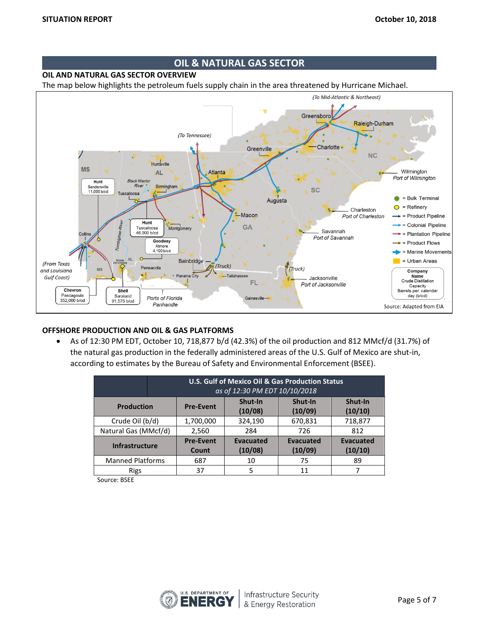# **OIL & NATURAL GAS SECTOR**

**OIL AND NATURAL GAS SECTOR OVERVIEW**

The map below highlights the petroleum fuels supply chain in the area threatened by Hurricane Michael.



#### **OFFSHORE PRODUCTION AND OIL & GAS PLATFORMS**

• As of 12:30 PM EDT, October 10, 718,877 b/d (42.3%) of the oil production and 812 MMcf/d (31.7%) of the natural gas production in the federally administered areas of the U.S. Gulf of Mexico are shut-in, according to estimates by the Bureau of Safety and Environmental Enforcement (BSEE).

|                         | U.S. Gulf of Mexico Oil & Gas Production Status<br>as of 12:30 PM EDT 10/10/2018 |                             |                             |                             |  |  |
|-------------------------|----------------------------------------------------------------------------------|-----------------------------|-----------------------------|-----------------------------|--|--|
| <b>Production</b>       | <b>Pre-Event</b>                                                                 | Shut-In<br>(10/08)          | Shut-In<br>(10/09)          | Shut-In<br>(10/10)          |  |  |
| Crude Oil (b/d)         | 1,700,000                                                                        | 324,190                     | 670,831                     | 718,877                     |  |  |
| Natural Gas (MMcf/d)    | 2,560                                                                            | 284                         | 726                         | 812                         |  |  |
| <b>Infrastructure</b>   | <b>Pre-Event</b><br>Count                                                        | <b>Evacuated</b><br>(10/08) | <b>Evacuated</b><br>(10/09) | <b>Evacuated</b><br>(10/10) |  |  |
| <b>Manned Platforms</b> | 687                                                                              | 10                          | 75                          | 89                          |  |  |
| <b>Rigs</b>             | 37                                                                               | 5                           | 11                          |                             |  |  |

Source: BSEE

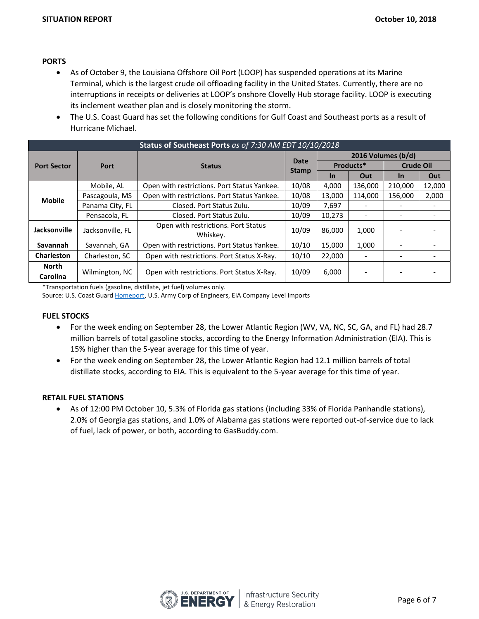### **PORTS**

- As of October 9, the Louisiana Offshore Oil Port (LOOP) has suspended operations at its Marine Terminal, which is the largest crude oil offloading facility in the United States. Currently, there are no interruptions in receipts or deliveries at LOOP's onshore Clovelly Hub storage facility. LOOP is executing its inclement weather plan and is closely monitoring the storm.
- The U.S. Coast Guard has set the following conditions for Gulf Coast and Southeast ports as a result of Hurricane Michael.

| Status of Southeast Ports as of 7:30 AM EDT 10/10/2018 |                  |                                                 |              |                    |         |                  |        |
|--------------------------------------------------------|------------------|-------------------------------------------------|--------------|--------------------|---------|------------------|--------|
|                                                        | Port             | <b>Status</b>                                   | Date         | 2016 Volumes (b/d) |         |                  |        |
| <b>Port Sector</b>                                     |                  |                                                 | <b>Stamp</b> | Products*          |         | <b>Crude Oil</b> |        |
|                                                        |                  |                                                 |              | <b>In</b>          | Out     | <u>In</u>        | Out    |
|                                                        | Mobile, AL       | Open with restrictions. Port Status Yankee.     | 10/08        | 4,000              | 136,000 | 210,000          | 12,000 |
| <b>Mobile</b>                                          | Pascagoula, MS   | Open with restrictions. Port Status Yankee.     | 10/08        | 13.000             | 114.000 | 156.000          | 2,000  |
|                                                        | Panama City, FL  | Closed. Port Status Zulu.                       | 10/09        | 7,697              |         |                  |        |
|                                                        | Pensacola, FL    | Closed. Port Status Zulu.                       | 10/09        | 10,273             |         |                  |        |
| Jacksonville                                           | Jacksonville, FL | Open with restrictions. Port Status<br>Whiskey. | 10/09        | 86,000             | 1,000   |                  |        |
| Savannah<br>Savannah, GA                               |                  | Open with restrictions. Port Status Yankee.     | 10/10        | 15,000             | 1,000   |                  |        |
| <b>Charleston</b>                                      | Charleston, SC   | Open with restrictions. Port Status X-Ray.      | 10/10        | 22,000             |         |                  |        |
| <b>North</b><br><b>Carolina</b>                        | Wilmington, NC   | Open with restrictions. Port Status X-Ray.      | 10/09        | 6,000              |         |                  |        |

\*Transportation fuels (gasoline, distillate, jet fuel) volumes only.

Source: U.S. Coast Guard [Homeport](https://homeport.uscg.mil/port-directory/honolulu), U.S. Army Corp of Engineers, EIA Company Level Imports

#### **FUEL STOCKS**

- For the week ending on September 28, the Lower Atlantic Region (WV, VA, NC, SC, GA, and FL) had 28.7 million barrels of total gasoline stocks, according to the Energy Information Administration (EIA). This is 15% higher than the 5-year average for this time of year.
- For the week ending on September 28, the Lower Atlantic Region had 12.1 million barrels of total distillate stocks, according to EIA. This is equivalent to the 5-year average for this time of year.

#### **RETAIL FUEL STATIONS**

• As of 12:00 PM October 10, 5.3% of Florida gas stations (including 33% of Florida Panhandle stations), 2.0% of Georgia gas stations, and 1.0% of Alabama gas stations were reported out-of-service due to lack of fuel, lack of power, or both, according to GasBuddy.com.